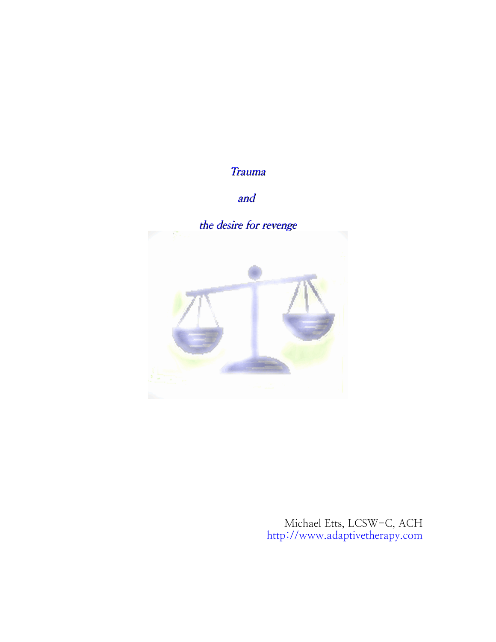# **Trauma**

# and



Michael Etts, LCSW-C, ACH [http://www.adaptivetherapy.com](http://www.adaptivetherapy.com/)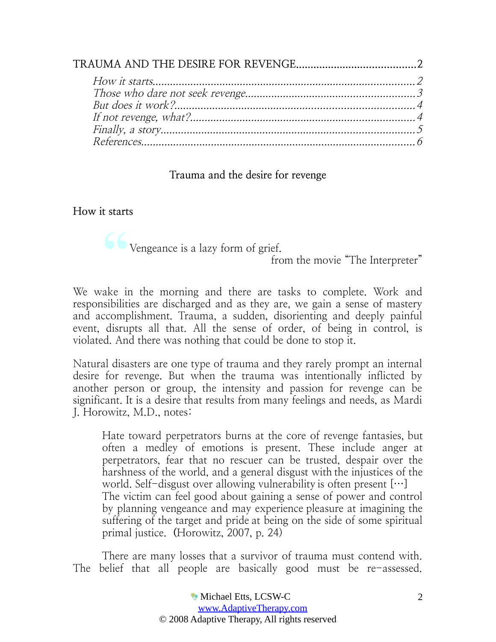## <span id="page-1-0"></span>**Trauma and the desire for revenge**

## <span id="page-1-1"></span>**How it starts**

 $\bullet$  Vengeance is a lazy form of grief.

from the movie "The Interpreter"

We wake in the morning and there are tasks to complete. Work and responsibilities are discharged and as they are, we gain a sense of mastery and accomplishment. Trauma, a sudden, disorienting and deeply painful event, disrupts all that. All the sense of order, of being in control, is violated. And there was nothing that could be done to stop it.

Natural disasters are one type of trauma and they rarely prompt an internal desire for revenge. But when the trauma was intentionally inflicted by another person or group, the intensity and passion for revenge can be significant. It is a desire that results from many feelings and needs, as Mardi J. Horowitz, M.D., notes:

Hate toward perpetrators burns at the core of revenge fantasies, but often a medley of emotions is present. These include anger at perpetrators, fear that no rescuer can be trusted, despair over the harshness of the world, and a general disgust with the injustices of the world. Self-disgust over allowing vulnerability is often present  $[\cdots]$ The victim can feel good about gaining a sense of power and control by planning vengeance and may experience pleasure at imagining the suffering of the target and pride at being on the side of some spiritual primal justice. **(**Horowitz, 2007, p. 24)

There are many losses that a survivor of trauma must contend with. The belief that all people are basically good must be re-assessed.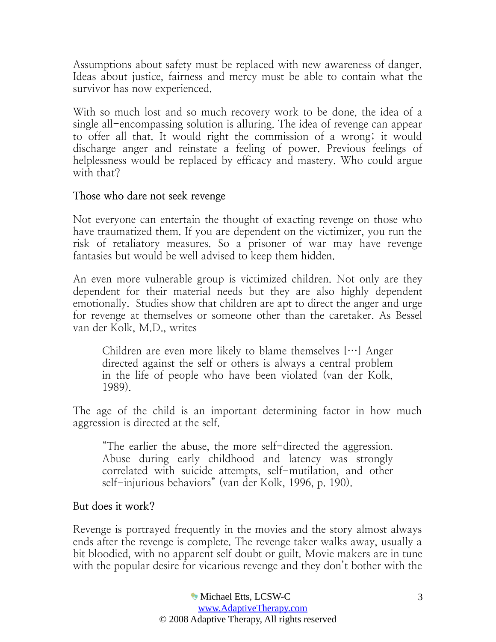Assumptions about safety must be replaced with new awareness of danger. Ideas about justice, fairness and mercy must be able to contain what the survivor has now experienced.

With so much lost and so much recovery work to be done, the idea of a single all-encompassing solution is alluring. The idea of revenge can appear to offer all that. It would right the commission of a wrong; it would discharge anger and reinstate a feeling of power. Previous feelings of helplessness would be replaced by efficacy and mastery. Who could argue with that?

### <span id="page-2-1"></span>**Those who dare not seek revenge**

Not everyone can entertain the thought of exacting revenge on those who have traumatized them. If you are dependent on the victimizer, you run the risk of retaliatory measures. So a prisoner of war may have revenge fantasies but would be well advised to keep them hidden.

An even more vulnerable group is victimized children. Not only are they dependent for their material needs but they are also highly dependent emotionally. Studies show that children are apt to direct the anger and urge for revenge at themselves or someone other than the caretaker. As Bessel van der Kolk, M.D., writes

Children are even more likely to blame themselves […] Anger directed against the self or others is always a central problem in the life of people who have been violated (van der Kolk, 1989).

The age of the child is an important determining factor in how much aggression is directed at the self.

"The earlier the abuse, the more self-directed the aggression. Abuse during early childhood and latency was strongly correlated with suicide attempts, self-mutilation, and other self-injurious behaviors" (van der Kolk, 1996, p. 190).

### <span id="page-2-0"></span>**But does it work?**

Revenge is portrayed frequently in the movies and the story almost always ends after the revenge is complete. The revenge taker walks away, usually a bit bloodied, with no apparent self doubt or guilt. Movie makers are in tune with the popular desire for vicarious revenge and they don't bother with the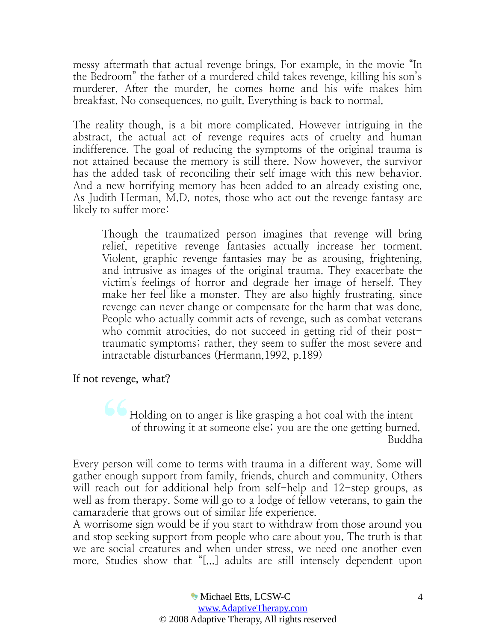messy aftermath that actual revenge brings. For example, in the movie "In the Bedroom" the father of a murdered child takes revenge, killing his son's murderer. After the murder, he comes home and his wife makes him breakfast. No consequences, no guilt. Everything is back to normal.

The reality though, is a bit more complicated. However intriguing in the abstract, the actual act of revenge requires acts of cruelty and human indifference. The goal of reducing the symptoms of the original trauma is not attained because the memory is still there. Now however, the survivor has the added task of reconciling their self image with this new behavior. And a new horrifying memory has been added to an already existing one. As Judith Herman, M.D. notes, those who act out the revenge fantasy are likely to suffer more:

Though the traumatized person imagines that revenge will bring relief, repetitive revenge fantasies actually increase her torment. Violent, graphic revenge fantasies may be as arousing, frightening, and intrusive as images of the original trauma. They exacerbate the victim's feelings of horror and degrade her image of herself. They make her feel like a monster. They are also highly frustrating, since revenge can never change or compensate for the harm that was done. People who actually commit acts of revenge, such as combat veterans who commit atrocities, do not succeed in getting rid of their posttraumatic symptoms; rather, they seem to suffer the most severe and intractable disturbances (Hermann,1992, p.189)

<span id="page-3-0"></span>**If not revenge, what?**

Holding on to anger is like grasping a hot coal with the intent of throwing it at someone else; you are the one getting burned. Buddha

Every person will come to terms with trauma in a different way. Some will gather enough support from family, friends, church and community. Others will reach out for additional help from self-help and 12-step groups, as well as from therapy. Some will go to a lodge of fellow veterans, to gain the camaraderie that grows out of similar life experience.

A worrisome sign would be if you start to withdraw from those around you and stop seeking support from people who care about you. The truth is that we are social creatures and when under stress, we need one another even more. Studies show that "[...] adults are still intensely dependent upon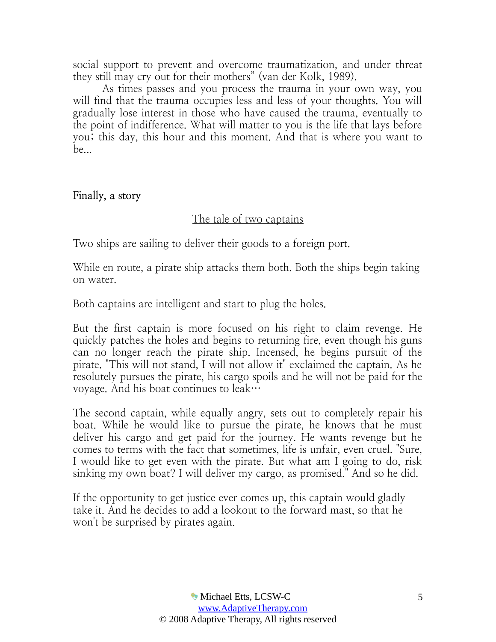social support to prevent and overcome traumatization, and under threat they still may cry out for their mothers" (van der Kolk, 1989).

As times passes and you process the trauma in your own way, you will find that the trauma occupies less and less of your thoughts. You will gradually lose interest in those who have caused the trauma, eventually to the point of indifference. What will matter to you is the life that lays before you; this day, this hour and this moment. And that is where you want to be...

<span id="page-4-0"></span>**Finally, a story**

# The tale of two captains

Two ships are sailing to deliver their goods to a foreign port.

While en route, a pirate ship attacks them both. Both the ships begin taking on water.

Both captains are intelligent and start to plug the holes.

But the first captain is more focused on his right to claim revenge. He quickly patches the holes and begins to returning fire, even though his guns can no longer reach the pirate ship. Incensed, he begins pursuit of the pirate. "This will not stand, I will not allow it" exclaimed the captain. As he resolutely pursues the pirate, his cargo spoils and he will not be paid for the voyage. And his boat continues to leak…

The second captain, while equally angry, sets out to completely repair his boat. While he would like to pursue the pirate, he knows that he must deliver his cargo and get paid for the journey. He wants revenge but he comes to terms with the fact that sometimes, life is unfair, even cruel. "Sure, I would like to get even with the pirate. But what am I going to do, risk sinking my own boat? I will deliver my cargo, as promised." And so he did.

If the opportunity to get justice ever comes up, this captain would gladly take it. And he decides to add a lookout to the forward mast, so that he won't be surprised by pirates again.